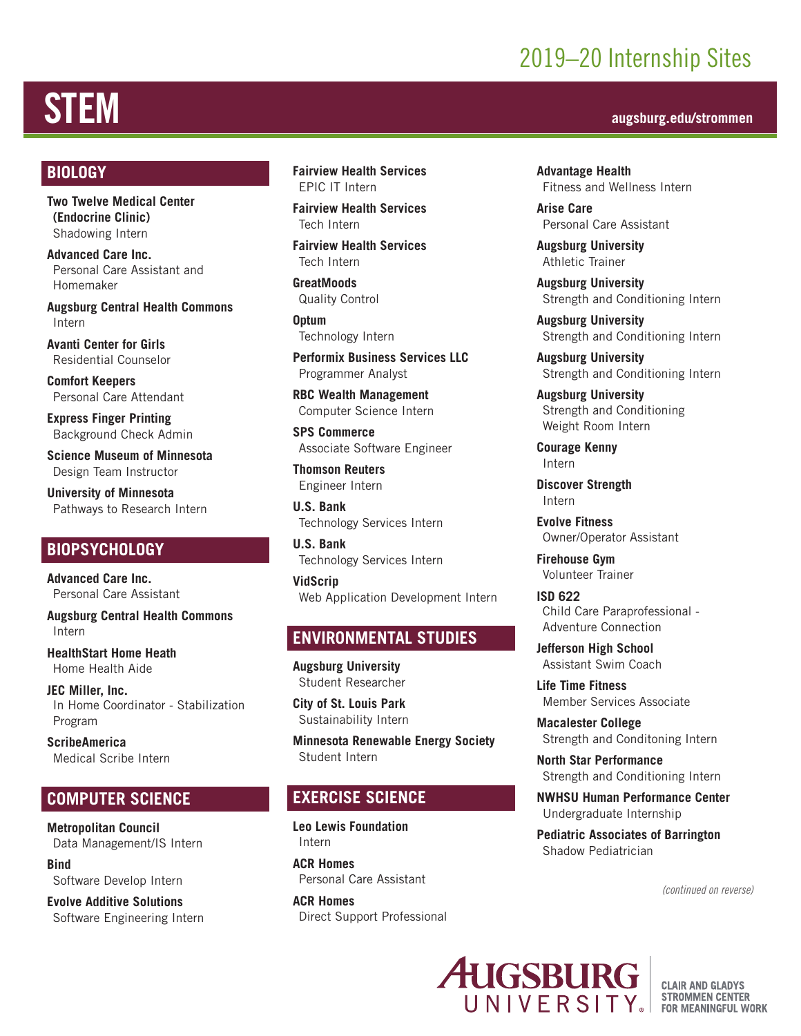## 2019–20 Internship Sites

# STEM **augsburg.edu/strommen**

#### **BIOLOGY**

**Two Twelve Medical Center (Endocrine Clinic)** Shadowing Intern

**Advanced Care Inc.** Personal Care Assistant and Homemaker

**Augsburg Central Health Commons** Intern

**Avanti Center for Girls** Residential Counselor

**Comfort Keepers**  Personal Care Attendant

**Express Finger Printing** Background Check Admin

**Science Museum of Minnesota** Design Team Instructor

**University of Minnesota** Pathways to Research Intern

#### **BIOPSYCHOLOGY**

**Advanced Care Inc.** Personal Care Assistant

**Augsburg Central Health Commons** Intern

**HealthStart Home Heath** Home Health Aide

**JEC Miller, Inc.** In Home Coordinator - Stabilization Program

**ScribeAmerica** Medical Scribe Intern

#### **COMPUTER SCIENCE**

**Metropolitan Council** Data Management/IS Intern

**Bind** Software Develop Intern

**Evolve Additive Solutions** Software Engineering Intern **Fairview Health Services** EPIC IT Intern

**Fairview Health Services** Tech Intern

**Fairview Health Services** Tech Intern

**GreatMoods** Quality Control

**Optum** Technology Intern

**Performix Business Services LLC** Programmer Analyst

**RBC Wealth Management** Computer Science Intern

**SPS Commerce** Associate Software Engineer

**Thomson Reuters**  Engineer Intern

**U.S. Bank** Technology Services Intern

**U.S. Bank** Technology Services Intern

**VidScrip** Web Application Development Intern

#### **ENVIRONMENTAL STUDIES**

**Augsburg University** Student Researcher

**City of St. Louis Park** Sustainability Intern

**Minnesota Renewable Energy Society** Student Intern

#### **EXERCISE SCIENCE**

**Leo Lewis Foundation** Intern

**ACR Homes** Personal Care Assistant

**ACR Homes** Direct Support Professional

**Advantage Health** Fitness and Wellness Intern

**Arise Care** Personal Care Assistant

**Augsburg University** Athletic Trainer

**Augsburg University** Strength and Conditioning Intern

**Augsburg University** Strength and Conditioning Intern

**Augsburg University** Strength and Conditioning Intern

**Augsburg University**  Strength and Conditioning Weight Room Intern

**Courage Kenny** Intern

**Discover Strength** Intern

**Evolve Fitness** Owner/Operator Assistant

**Firehouse Gym** Volunteer Trainer

**ISD 622** Child Care Paraprofessional - Adventure Connection

**Jefferson High School** Assistant Swim Coach

**Life Time Fitness** Member Services Associate

**Macalester College** Strength and Conditoning Intern

**North Star Performance** Strength and Conditioning Intern

**NWHSU Human Performance Center** Undergraduate Internship

**Pediatric Associates of Barrington** Shadow Pediatrician

*(continued on reverse)*



**CLAIR AND GLADYS STROMMEN CENTER FOR MEANINGFUL WORK**